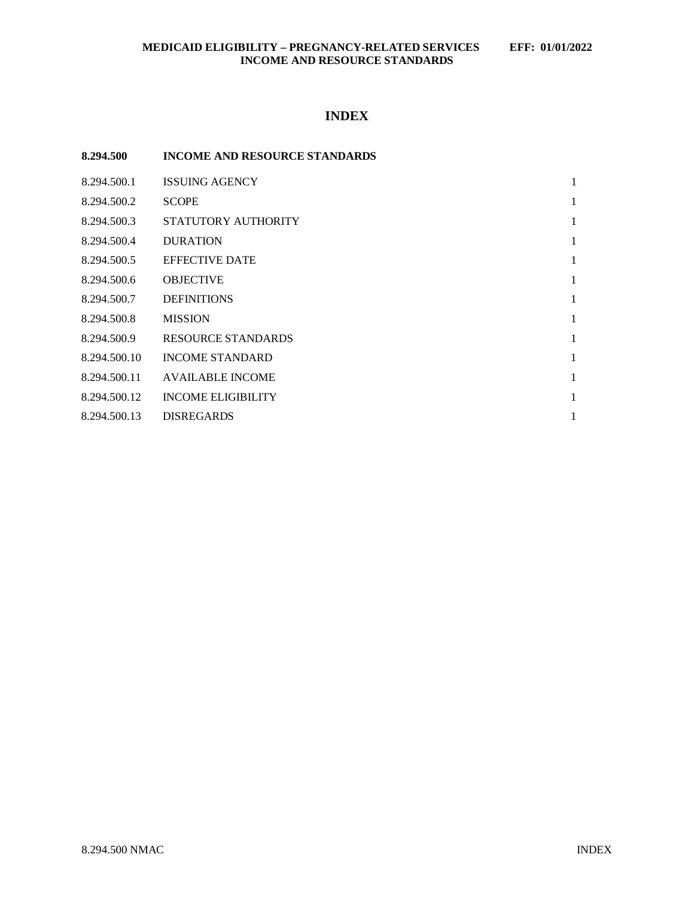## **INDEX**

| 8.294.500    | <b>INCOME AND RESOURCE STANDARDS</b> |   |
|--------------|--------------------------------------|---|
| 8.294.500.1  | <b>ISSUING AGENCY</b>                | 1 |
| 8.294.500.2  | <b>SCOPE</b>                         | 1 |
| 8.294.500.3  | STATUTORY AUTHORITY                  | 1 |
| 8.294.500.4  | <b>DURATION</b>                      | 1 |
| 8.294.500.5  | <b>EFFECTIVE DATE</b>                | 1 |
| 8.294.500.6  | <b>OBJECTIVE</b>                     | 1 |
| 8.294.500.7  | <b>DEFINITIONS</b>                   | 1 |
| 8.294.500.8  | <b>MISSION</b>                       | 1 |
| 8.294.500.9  | RESOURCE STANDARDS                   | 1 |
| 8.294.500.10 | <b>INCOME STANDARD</b>               | 1 |
| 8.294.500.11 | <b>AVAILABLE INCOME</b>              | 1 |
| 8.294.500.12 | <b>INCOME ELIGIBILITY</b>            | 1 |
| 8.294.500.13 | <b>DISREGARDS</b>                    | 1 |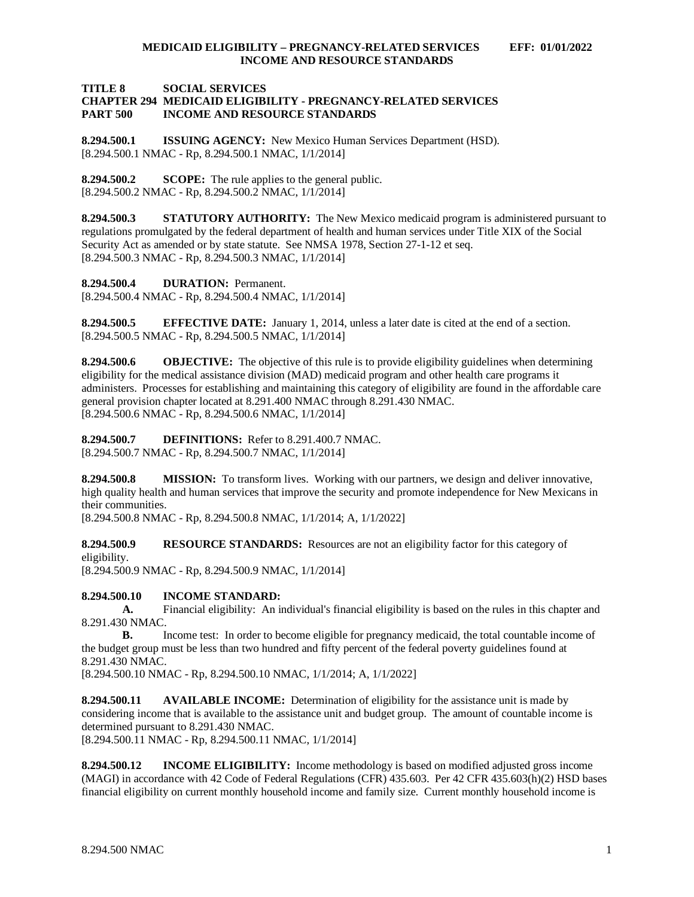## **TITLE 8 SOCIAL SERVICES CHAPTER 294 MEDICAID ELIGIBILITY - PREGNANCY-RELATED SERVICES INCOME AND RESOURCE STANDARDS**

<span id="page-1-0"></span>**8.294.500.1 ISSUING AGENCY:** New Mexico Human Services Department (HSD). [8.294.500.1 NMAC - Rp, 8.294.500.1 NMAC, 1/1/2014]

<span id="page-1-1"></span>**8.294.500.2 SCOPE:** The rule applies to the general public. [8.294.500.2 NMAC - Rp, 8.294.500.2 NMAC, 1/1/2014]

<span id="page-1-2"></span>**8.294.500.3 STATUTORY AUTHORITY:** The New Mexico medicaid program is administered pursuant to regulations promulgated by the federal department of health and human services under Title XIX of the Social Security Act as amended or by state statute. See NMSA 1978, Section 27-1-12 et seq. [8.294.500.3 NMAC - Rp, 8.294.500.3 NMAC, 1/1/2014]

<span id="page-1-3"></span>**8.294.500.4 DURATION:** Permanent.

[8.294.500.4 NMAC - Rp, 8.294.500.4 NMAC, 1/1/2014]

<span id="page-1-4"></span>**8.294.500.5 EFFECTIVE DATE:** January 1, 2014, unless a later date is cited at the end of a section. [8.294.500.5 NMAC - Rp, 8.294.500.5 NMAC, 1/1/2014]

<span id="page-1-5"></span>**8.294.500.6 OBJECTIVE:** The objective of this rule is to provide eligibility guidelines when determining eligibility for the medical assistance division (MAD) medicaid program and other health care programs it administers. Processes for establishing and maintaining this category of eligibility are found in the affordable care general provision chapter located at 8.291.400 NMAC through 8.291.430 NMAC. [8.294.500.6 NMAC - Rp, 8.294.500.6 NMAC, 1/1/2014]

<span id="page-1-6"></span>**8.294.500.7 DEFINITIONS:** Refer to 8.291.400.7 NMAC. [8.294.500.7 NMAC - Rp, 8.294.500.7 NMAC, 1/1/2014]

<span id="page-1-7"></span>**8.294.500.8 MISSION:** To transform lives. Working with our partners, we design and deliver innovative, high quality health and human services that improve the security and promote independence for New Mexicans in their communities.

[8.294.500.8 NMAC - Rp, 8.294.500.8 NMAC, 1/1/2014; A, 1/1/2022]

<span id="page-1-8"></span>**8.294.500.9 <b>RESOURCE STANDARDS:** Resources are not an eligibility factor for this category of eligibility.

[8.294.500.9 NMAC - Rp, 8.294.500.9 NMAC, 1/1/2014]

<span id="page-1-9"></span>**8.294.500.10 INCOME STANDARD:**

**A.** Financial eligibility: An individual's financial eligibility is based on the rules in this chapter and 8.291.430 NMAC.

**B.** Income test: In order to become eligible for pregnancy medicaid, the total countable income of the budget group must be less than two hundred and fifty percent of the federal poverty guidelines found at 8.291.430 NMAC.

[8.294.500.10 NMAC - Rp, 8.294.500.10 NMAC, 1/1/2014; A, 1/1/2022]

<span id="page-1-10"></span>**8.294.500.11 AVAILABLE INCOME:** Determination of eligibility for the assistance unit is made by considering income that is available to the assistance unit and budget group. The amount of countable income is determined pursuant to 8.291.430 NMAC.

[8.294.500.11 NMAC - Rp, 8.294.500.11 NMAC, 1/1/2014]

<span id="page-1-11"></span>**8.294.500.12 INCOME ELIGIBILITY:** Income methodology is based on modified adjusted gross income (MAGI) in accordance with 42 Code of Federal Regulations (CFR) 435.603. Per 42 CFR 435.603(h)(2) HSD bases financial eligibility on current monthly household income and family size. Current monthly household income is